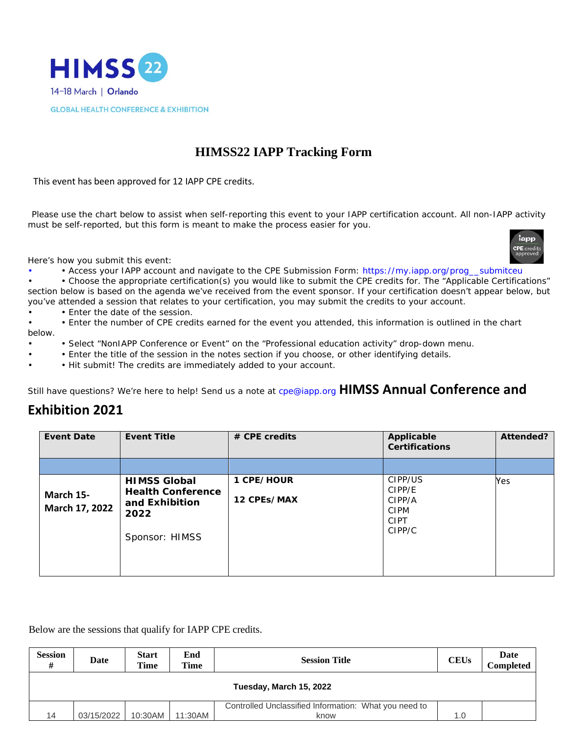

## **HIMSS22 IAPP Tracking Form**

This event has been approved for 12 IAPP CPE credits.

Please use the chart below to assist when self-reporting this event to your IAPP certification account. All non-IAPP activity must be self-reported, but this form is meant to make the process easier for you.



Here's how you submit this event:

• • Access your IAPP account and navigate to the CPE Submission Form: https://my.iapp.org/prog\_\_submitceu

• • Choose the appropriate certification(s) you would like to submit the CPE credits for. The "Applicable Certifications" section below is based on the agenda we've received from the event sponsor. If your certification doesn't appear below, but you've attended a session that relates to your certification, you may submit the credits to your account.

• Enter the date of the session.

• • Enter the number of CPE credits earned for the event you attended, this information is outlined in the chart below.

- • Select "NonIAPP Conference or Event" on the "Professional education activity" drop-down menu.
- • Enter the title of the session in the notes section if you choose, or other identifying details.
- Hit submit! The credits are immediately added to your account.

Still have questions? We're here to help! Send us a note at cpe@iapp.org **HIMSS Annual Conference and** 

## **Exhibition 2021**

| <b>Event Date</b>           | <b>Event Title</b>                                                                          | $#$ CPE credits           | Applicable<br><b>Certifications</b>                                 | Attended? |
|-----------------------------|---------------------------------------------------------------------------------------------|---------------------------|---------------------------------------------------------------------|-----------|
|                             |                                                                                             |                           |                                                                     |           |
| March 15-<br>March 17, 2022 | <b>HIMSS Global</b><br><b>Health Conference</b><br>and Exhibition<br>2022<br>Sponsor: HIMSS | 1 CPE/HOUR<br>12 CPEs/MAX | CIPP/US<br>CIPP/E<br>CIPP/A<br><b>CIPM</b><br><b>CIPT</b><br>CIPP/C | Yes       |

Below are the sessions that qualify for IAPP CPE credits.

| <b>Session</b><br>#     | Date       | <b>Start</b><br><b>Time</b> | End<br>Time | <b>Session Title</b>                                          | <b>CEUs</b> | Date<br>Completed |  |
|-------------------------|------------|-----------------------------|-------------|---------------------------------------------------------------|-------------|-------------------|--|
| Tuesday, March 15, 2022 |            |                             |             |                                                               |             |                   |  |
| 14                      | 03/15/2022 | 10:30AM                     | 11:30AM     | Controlled Unclassified Information: What you need to<br>know | 1.0         |                   |  |